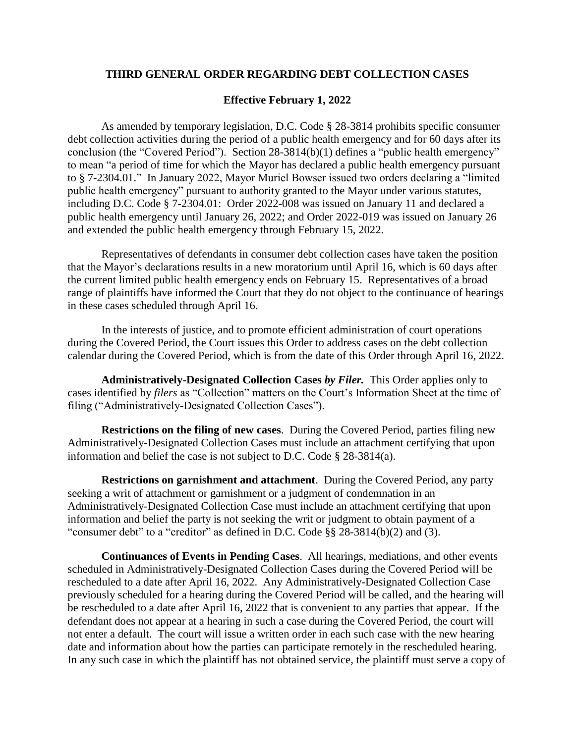## **THIRD GENERAL ORDER REGARDING DEBT COLLECTION CASES**

## **Effective February 1, 2022**

As amended by temporary legislation, D.C. Code § 28-3814 prohibits specific consumer debt collection activities during the period of a public health emergency and for 60 days after its conclusion (the "Covered Period"). Section 28-3814(b)(1) defines a "public health emergency" to mean "a period of time for which the Mayor has declared a public health emergency pursuant to § 7-2304.01." In January 2022, Mayor Muriel Bowser issued two orders declaring a "limited public health emergency" pursuant to authority granted to the Mayor under various statutes, including D.C. Code § 7-2304.01: Order 2022-008 was issued on January 11 and declared a public health emergency until January 26, 2022; and Order 2022-019 was issued on January 26 and extended the public health emergency through February 15, 2022.

Representatives of defendants in consumer debt collection cases have taken the position that the Mayor's declarations results in a new moratorium until April 16, which is 60 days after the current limited public health emergency ends on February 15. Representatives of a broad range of plaintiffs have informed the Court that they do not object to the continuance of hearings in these cases scheduled through April 16.

In the interests of justice, and to promote efficient administration of court operations during the Covered Period, the Court issues this Order to address cases on the debt collection calendar during the Covered Period, which is from the date of this Order through April 16, 2022.

**Administratively-Designated Collection Cases** *by Filer.* This Order applies only to cases identified by *filers* as "Collection" matters on the Court's Information Sheet at the time of filing ("Administratively-Designated Collection Cases").

**Restrictions on the filing of new cases**. During the Covered Period, parties filing new Administratively-Designated Collection Cases must include an attachment certifying that upon information and belief the case is not subject to D.C. Code § 28-3814(a).

**Restrictions on garnishment and attachment**. During the Covered Period, any party seeking a writ of attachment or garnishment or a judgment of condemnation in an Administratively-Designated Collection Case must include an attachment certifying that upon information and belief the party is not seeking the writ or judgment to obtain payment of a "consumer debt" to a "creditor" as defined in D.C. Code §§ 28-3814(b)(2) and (3).

**Continuances of Events in Pending Cases**. All hearings, mediations, and other events scheduled in Administratively-Designated Collection Cases during the Covered Period will be rescheduled to a date after April 16, 2022. Any Administratively-Designated Collection Case previously scheduled for a hearing during the Covered Period will be called, and the hearing will be rescheduled to a date after April 16, 2022 that is convenient to any parties that appear. If the defendant does not appear at a hearing in such a case during the Covered Period, the court will not enter a default. The court will issue a written order in each such case with the new hearing date and information about how the parties can participate remotely in the rescheduled hearing. In any such case in which the plaintiff has not obtained service, the plaintiff must serve a copy of